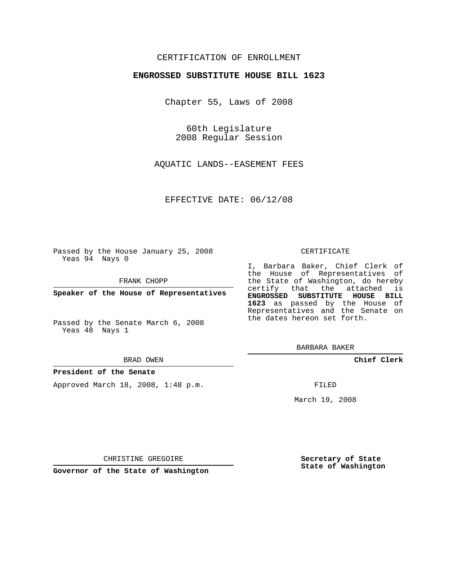## CERTIFICATION OF ENROLLMENT

### **ENGROSSED SUBSTITUTE HOUSE BILL 1623**

Chapter 55, Laws of 2008

60th Legislature 2008 Regular Session

AQUATIC LANDS--EASEMENT FEES

EFFECTIVE DATE: 06/12/08

Passed by the House January 25, 2008 Yeas 94 Nays 0

FRANK CHOPP

**Speaker of the House of Representatives**

Passed by the Senate March 6, 2008 Yeas 48 Nays 1

#### BRAD OWEN

### **President of the Senate**

Approved March 18, 2008, 1:48 p.m.

#### CERTIFICATE

I, Barbara Baker, Chief Clerk of the House of Representatives of the State of Washington, do hereby certify that the attached is **ENGROSSED SUBSTITUTE HOUSE BILL 1623** as passed by the House of Representatives and the Senate on the dates hereon set forth.

BARBARA BAKER

**Chief Clerk**

FILED

March 19, 2008

CHRISTINE GREGOIRE

**Governor of the State of Washington**

**Secretary of State State of Washington**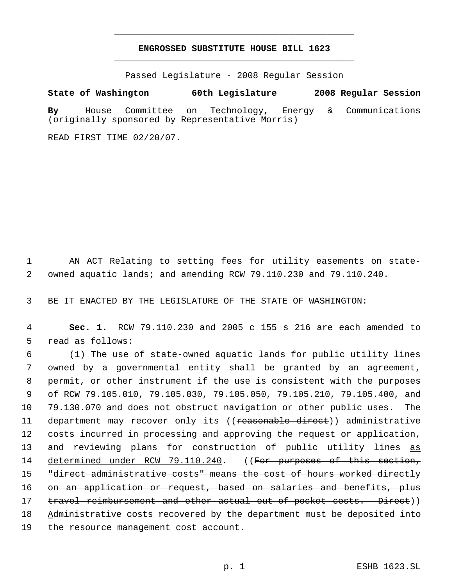# **ENGROSSED SUBSTITUTE HOUSE BILL 1623** \_\_\_\_\_\_\_\_\_\_\_\_\_\_\_\_\_\_\_\_\_\_\_\_\_\_\_\_\_\_\_\_\_\_\_\_\_\_\_\_\_\_\_\_\_

\_\_\_\_\_\_\_\_\_\_\_\_\_\_\_\_\_\_\_\_\_\_\_\_\_\_\_\_\_\_\_\_\_\_\_\_\_\_\_\_\_\_\_\_\_

Passed Legislature - 2008 Regular Session

## **State of Washington 60th Legislature 2008 Regular Session**

**By** House Committee on Technology, Energy & Communications (originally sponsored by Representative Morris)

READ FIRST TIME 02/20/07.

 1 AN ACT Relating to setting fees for utility easements on state- 2 owned aquatic lands; and amending RCW 79.110.230 and 79.110.240.

3 BE IT ENACTED BY THE LEGISLATURE OF THE STATE OF WASHINGTON:

 4 **Sec. 1.** RCW 79.110.230 and 2005 c 155 s 216 are each amended to 5 read as follows:

 (1) The use of state-owned aquatic lands for public utility lines owned by a governmental entity shall be granted by an agreement, permit, or other instrument if the use is consistent with the purposes of RCW 79.105.010, 79.105.030, 79.105.050, 79.105.210, 79.105.400, and 79.130.070 and does not obstruct navigation or other public uses. The 11 department may recover only its ((reasonable direct)) administrative costs incurred in processing and approving the request or application, 13 and reviewing plans for construction of public utility lines as 14 determined under RCW 79.110.240. ((For purposes of this section, "direct administrative costs" means the cost of hours worked directly on an application or request, based on salaries and benefits, plus 17 travel reimbursement and other actual out-of-pocket costs. Direct)) 18 Administrative costs recovered by the department must be deposited into the resource management cost account.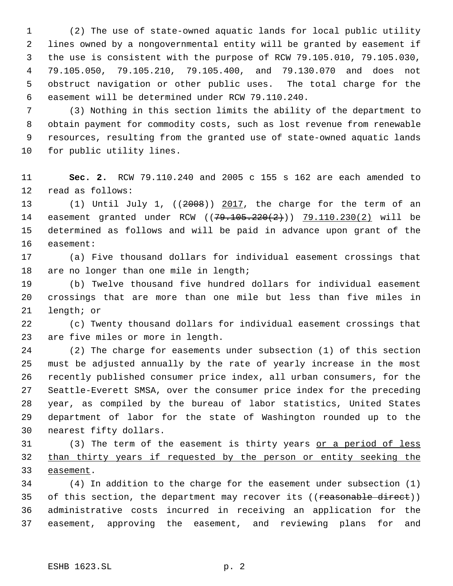(2) The use of state-owned aquatic lands for local public utility lines owned by a nongovernmental entity will be granted by easement if the use is consistent with the purpose of RCW 79.105.010, 79.105.030, 79.105.050, 79.105.210, 79.105.400, and 79.130.070 and does not obstruct navigation or other public uses. The total charge for the easement will be determined under RCW 79.110.240.

 (3) Nothing in this section limits the ability of the department to obtain payment for commodity costs, such as lost revenue from renewable resources, resulting from the granted use of state-owned aquatic lands for public utility lines.

 **Sec. 2.** RCW 79.110.240 and 2005 c 155 s 162 are each amended to read as follows:

 (1) Until July 1, ((2008)) 2017, the charge for the term of an 14 easement granted under RCW ((79.105.220(2))) 79.110.230(2) will be determined as follows and will be paid in advance upon grant of the easement:

 (a) Five thousand dollars for individual easement crossings that are no longer than one mile in length;

 (b) Twelve thousand five hundred dollars for individual easement crossings that are more than one mile but less than five miles in length; or

 (c) Twenty thousand dollars for individual easement crossings that are five miles or more in length.

 (2) The charge for easements under subsection (1) of this section must be adjusted annually by the rate of yearly increase in the most recently published consumer price index, all urban consumers, for the Seattle-Everett SMSA, over the consumer price index for the preceding year, as compiled by the bureau of labor statistics, United States department of labor for the state of Washington rounded up to the nearest fifty dollars.

31 (3) The term of the easement is thirty years or a period of less than thirty years if requested by the person or entity seeking the easement.

 (4) In addition to the charge for the easement under subsection (1) 35 of this section, the department may recover its ((reasonable direct)) administrative costs incurred in receiving an application for the easement, approving the easement, and reviewing plans for and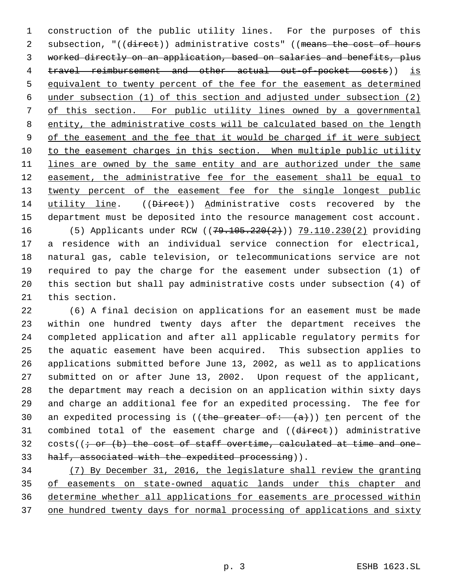construction of the public utility lines. For the purposes of this 2 subsection, "((direct)) administrative costs" ((means the cost of hours worked directly on an application, based on salaries and benefits, plus travel reimbursement and other actual out-of-pocket costs)) is equivalent to twenty percent of the fee for the easement as determined under subsection (1) of this section and adjusted under subsection (2) of this section. For public utility lines owned by a governmental entity, the administrative costs will be calculated based on the length 9 of the easement and the fee that it would be charged if it were subject 10 to the easement charges in this section. When multiple public utility 11 lines are owned by the same entity and are authorized under the same 12 easement, the administrative fee for the easement shall be equal to 13 twenty percent of the easement fee for the single longest public 14 utility line. ((<del>Direct</del>)) Administrative costs recovered by the department must be deposited into the resource management cost account. 16 (5) Applicants under RCW ((79.105.220(2))) 79.110.230(2) providing a residence with an individual service connection for electrical, natural gas, cable television, or telecommunications service are not required to pay the charge for the easement under subsection (1) of this section but shall pay administrative costs under subsection (4) of this section.

 (6) A final decision on applications for an easement must be made within one hundred twenty days after the department receives the completed application and after all applicable regulatory permits for the aquatic easement have been acquired. This subsection applies to applications submitted before June 13, 2002, as well as to applications submitted on or after June 13, 2002. Upon request of the applicant, the department may reach a decision on an application within sixty days and charge an additional fee for an expedited processing. The fee for 30 an expedited processing is ((the greater of:  $(a)$ )) ten percent of the 31 combined total of the easement charge and ((direct)) administrative 32 costs( $(i - or (b)$  the cost of staff overtime, calculated at time and one-33 half, associated with the expedited processing)).

 (7) By December 31, 2016, the legislature shall review the granting of easements on state-owned aquatic lands under this chapter and determine whether all applications for easements are processed within 37 one hundred twenty days for normal processing of applications and sixty